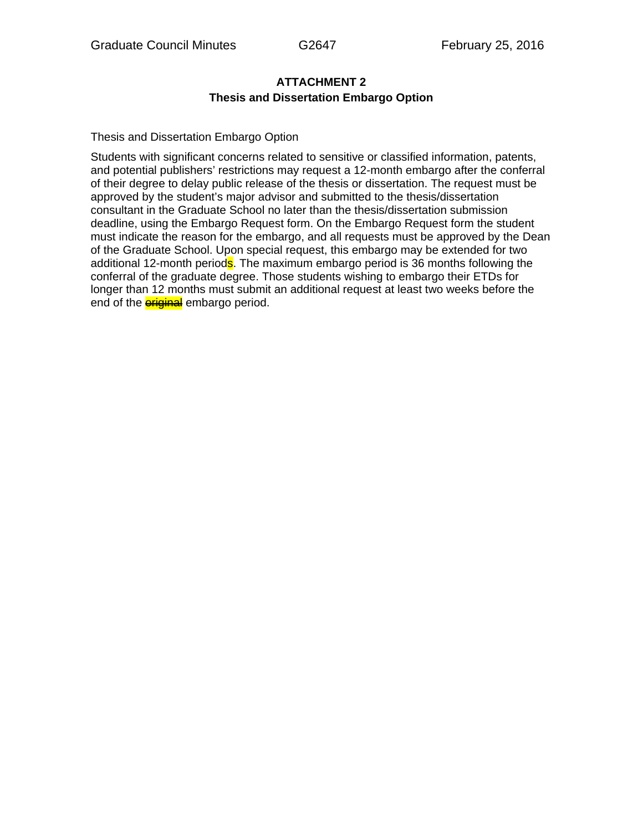## **ATTACHMENT 2 Thesis and Dissertation Embargo Option**

Thesis and Dissertation Embargo Option

Students with significant concerns related to sensitive or classified information, patents, and potential publishers' restrictions may request a 12-month embargo after the conferral of their degree to delay public release of the thesis or dissertation. The request must be approved by the student's major advisor and submitted to the thesis/dissertation consultant in the Graduate School no later than the thesis/dissertation submission deadline, using the Embargo Request form. On the Embargo Request form the student must indicate the reason for the embargo, and all requests must be approved by the Dean of the Graduate School. Upon special request, this embargo may be extended for two additional 12-month periods. The maximum embargo period is 36 months following the conferral of the graduate degree. Those students wishing to embargo their ETDs for longer than 12 months must submit an additional request at least two weeks before the end of the **eriginal** embargo period.